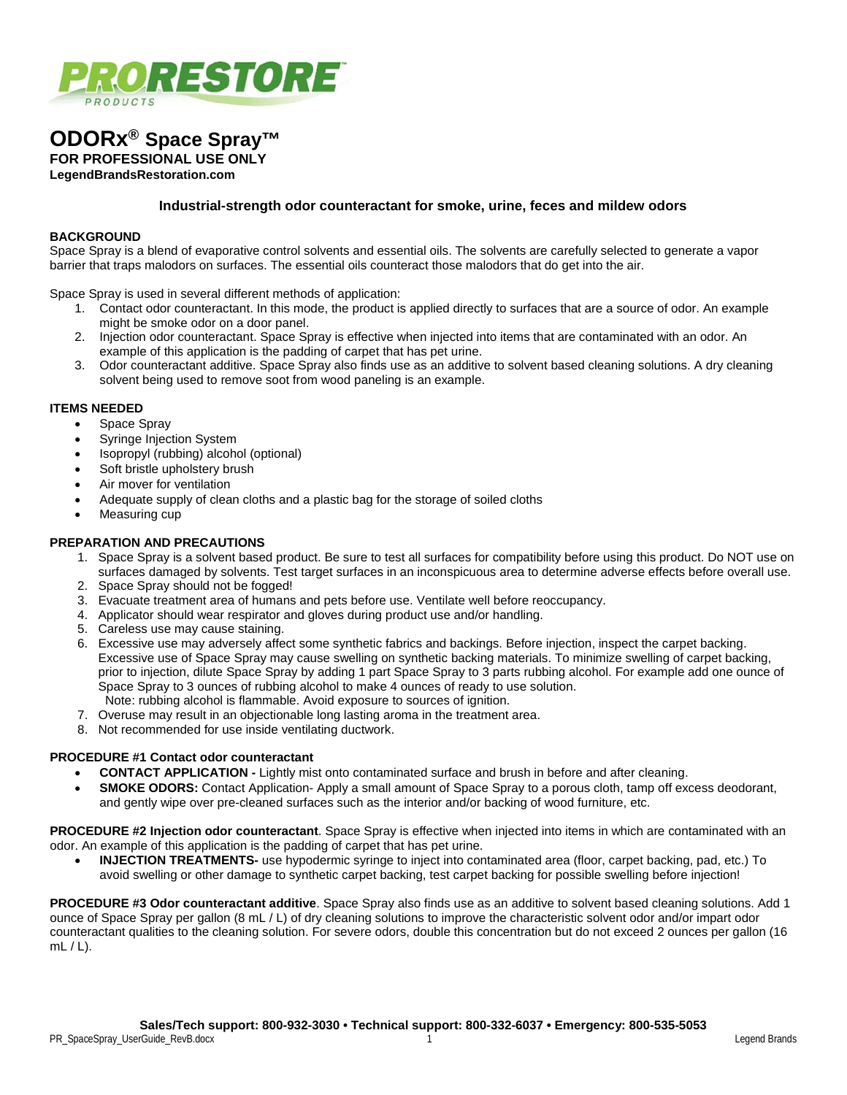

# **ODORx® Space Spray™**

**FOR PROFESSIONAL USE ONLY**

**LegendBrandsRestoration.com**

# **Industrial-strength odor counteractant for smoke, urine, feces and mildew odors**

### **BACKGROUND**

Space Spray is a blend of evaporative control solvents and essential oils. The solvents are carefully selected to generate a vapor barrier that traps malodors on surfaces. The essential oils counteract those malodors that do get into the air.

Space Spray is used in several different methods of application:

- 1. Contact odor counteractant. In this mode, the product is applied directly to surfaces that are a source of odor. An example might be smoke odor on a door panel.
- 2. Injection odor counteractant. Space Spray is effective when injected into items that are contaminated with an odor. An example of this application is the padding of carpet that has pet urine.
- 3. Odor counteractant additive. Space Spray also finds use as an additive to solvent based cleaning solutions. A dry cleaning solvent being used to remove soot from wood paneling is an example.

#### **ITEMS NEEDED**

- Space Spray
- Syringe Injection System
- Isopropyl (rubbing) alcohol (optional)
- Soft bristle upholstery brush
- Air mover for ventilation
- Adequate supply of clean cloths and a plastic bag for the storage of soiled cloths
- Measuring cup

# **PREPARATION AND PRECAUTIONS**

- 1. Space Spray is a solvent based product. Be sure to test all surfaces for compatibility before using this product. Do NOT use on surfaces damaged by solvents. Test target surfaces in an inconspicuous area to determine adverse effects before overall use.
- 2. Space Spray should not be fogged!
- 3. Evacuate treatment area of humans and pets before use. Ventilate well before reoccupancy.
- 4. Applicator should wear respirator and gloves during product use and/or handling.
- 5. Careless use may cause staining.
- 6. Excessive use may adversely affect some synthetic fabrics and backings. Before injection, inspect the carpet backing. Excessive use of Space Spray may cause swelling on synthetic backing materials. To minimize swelling of carpet backing, prior to injection, dilute Space Spray by adding 1 part Space Spray to 3 parts rubbing alcohol. For example add one ounce of Space Spray to 3 ounces of rubbing alcohol to make 4 ounces of ready to use solution. Note: rubbing alcohol is flammable. Avoid exposure to sources of ignition.
- 7. Overuse may result in an objectionable long lasting aroma in the treatment area.
- 8. Not recommended for use inside ventilating ductwork.

#### **PROCEDURE #1 Contact odor counteractant**

- **CONTACT APPLICATION -** Lightly mist onto contaminated surface and brush in before and after cleaning.
- **SMOKE ODORS:** Contact Application-Apply a small amount of Space Spray to a porous cloth, tamp off excess deodorant, and gently wipe over pre-cleaned surfaces such as the interior and/or backing of wood furniture, etc.

**PROCEDURE #2 Injection odor counteractant**. Space Spray is effective when injected into items in which are contaminated with an odor. An example of this application is the padding of carpet that has pet urine.

• **INJECTION TREATMENTS-** use hypodermic syringe to inject into contaminated area (floor, carpet backing, pad, etc.) To avoid swelling or other damage to synthetic carpet backing, test carpet backing for possible swelling before injection!

**PROCEDURE #3 Odor counteractant additive**. Space Spray also finds use as an additive to solvent based cleaning solutions. Add 1 ounce of Space Spray per gallon (8 mL / L) of dry cleaning solutions to improve the characteristic solvent odor and/or impart odor counteractant qualities to the cleaning solution. For severe odors, double this concentration but do not exceed 2 ounces per gallon (16  $mL/L$ ).